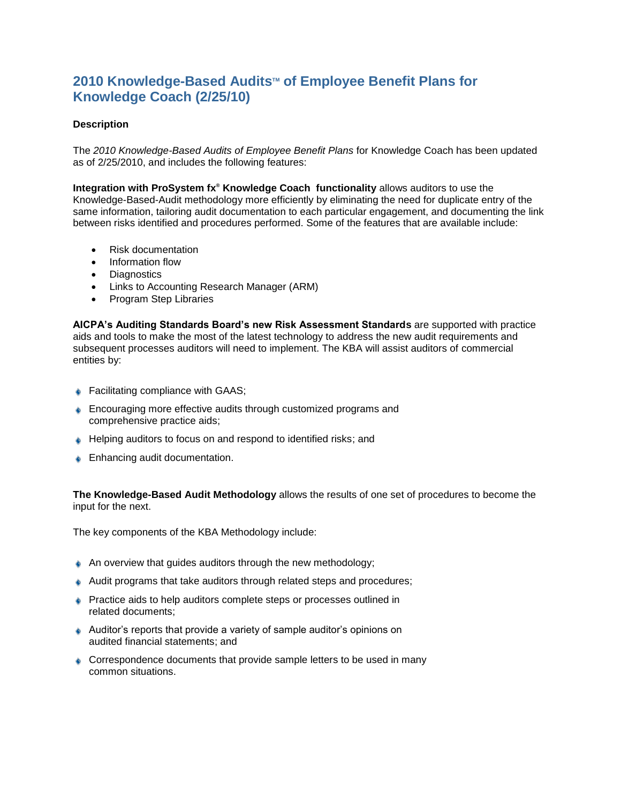## **2010** Knowledge-Based Audits™ of Employee Benefit Plans for **Knowledge Coach (2/25/10)**

## **Description**

The *2010 Knowledge-Based Audits of Employee Benefit Plans* for Knowledge Coach has been updated as of 2/25/2010, and includes the following features:

**Integration with ProSystem fx® Knowledge Coach functionality** allows auditors to use the Knowledge-Based-Audit methodology more efficiently by eliminating the need for duplicate entry of the same information, tailoring audit documentation to each particular engagement, and documenting the link between risks identified and procedures performed. Some of the features that are available include:

- Risk documentation
- Information flow
- Diagnostics
- Links to Accounting Research Manager (ARM)
- Program Step Libraries

**AICPA's Auditing Standards Board's new Risk Assessment Standards** are supported with practice aids and tools to make the most of the latest technology to address the new audit requirements and subsequent processes auditors will need to implement. The KBA will assist auditors of commercial entities by:

- ♦ Facilitating compliance with GAAS;
- **Encouraging more effective audits through customized programs and** comprehensive practice aids;
- ♦ Helping auditors to focus on and respond to identified risks; and
- **Enhancing audit documentation.**

**The Knowledge-Based Audit Methodology** allows the results of one set of procedures to become the input for the next.

The key components of the KBA Methodology include:

- $\triangle$  An overview that guides auditors through the new methodology;
- Audit programs that take auditors through related steps and procedures;
- **Practice aids to help auditors complete steps or processes outlined in** related documents;
- Auditor's reports that provide a variety of sample auditor's opinions on audited financial statements; and
- Correspondence documents that provide sample letters to be used in many common situations.